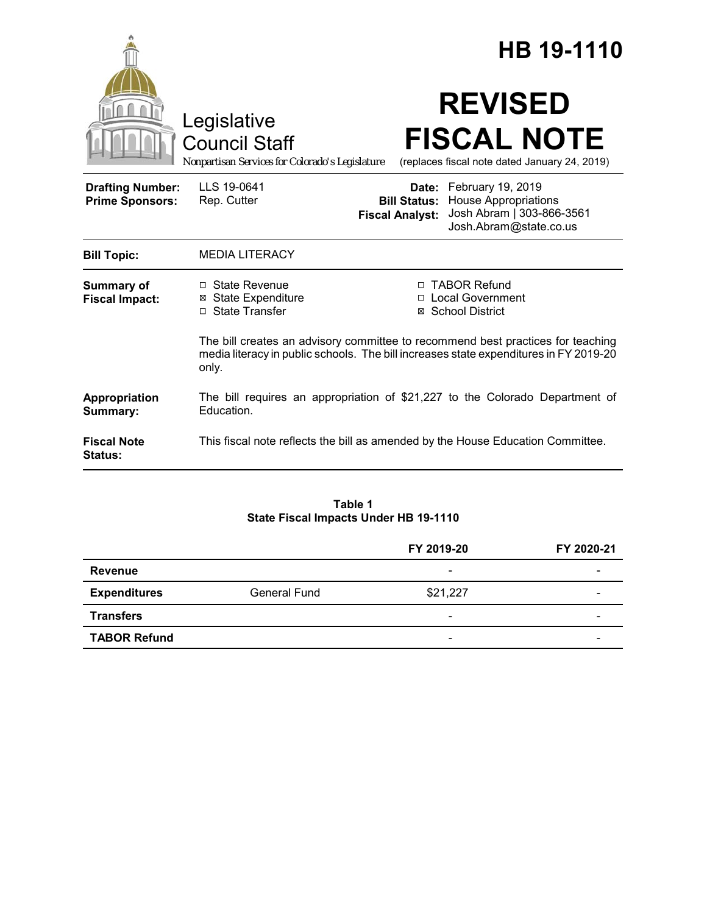|                                                   |                                                                                                                                                                                   | HB 19-1110                                                                                                                                           |  |
|---------------------------------------------------|-----------------------------------------------------------------------------------------------------------------------------------------------------------------------------------|------------------------------------------------------------------------------------------------------------------------------------------------------|--|
|                                                   | Legislative<br><b>Council Staff</b><br>Nonpartisan Services for Colorado's Legislature                                                                                            | <b>REVISED</b><br><b>FISCAL NOTE</b><br>(replaces fiscal note dated January 24, 2019)                                                                |  |
| <b>Drafting Number:</b><br><b>Prime Sponsors:</b> | LLS 19-0641<br>Rep. Cutter                                                                                                                                                        | Date: February 19, 2019<br><b>Bill Status:</b> House Appropriations<br>Josh Abram   303-866-3561<br><b>Fiscal Analyst:</b><br>Josh.Abram@state.co.us |  |
| <b>Bill Topic:</b>                                | <b>MEDIA LITERACY</b>                                                                                                                                                             |                                                                                                                                                      |  |
| Summary of<br><b>Fiscal Impact:</b>               | $\Box$ State Revenue<br><b>⊠ State Expenditure</b><br>□ State Transfer                                                                                                            | □ TABOR Refund<br>□ Local Government<br>⊠ School District                                                                                            |  |
|                                                   | The bill creates an advisory committee to recommend best practices for teaching<br>media literacy in public schools. The bill increases state expenditures in FY 2019-20<br>only. |                                                                                                                                                      |  |
| Appropriation<br>Summary:                         | The bill requires an appropriation of \$21,227 to the Colorado Department of<br>Education.                                                                                        |                                                                                                                                                      |  |
| <b>Fiscal Note</b><br>Status:                     | This fiscal note reflects the bill as amended by the House Education Committee.                                                                                                   |                                                                                                                                                      |  |

**Table 1 State Fiscal Impacts Under HB 19-1110**

|                     |              | FY 2019-20               | FY 2020-21 |
|---------------------|--------------|--------------------------|------------|
| Revenue             |              | $\overline{\phantom{0}}$ |            |
| <b>Expenditures</b> | General Fund | \$21,227                 |            |
| <b>Transfers</b>    |              | $\overline{\phantom{a}}$ |            |
| <b>TABOR Refund</b> |              | $\overline{\phantom{a}}$ |            |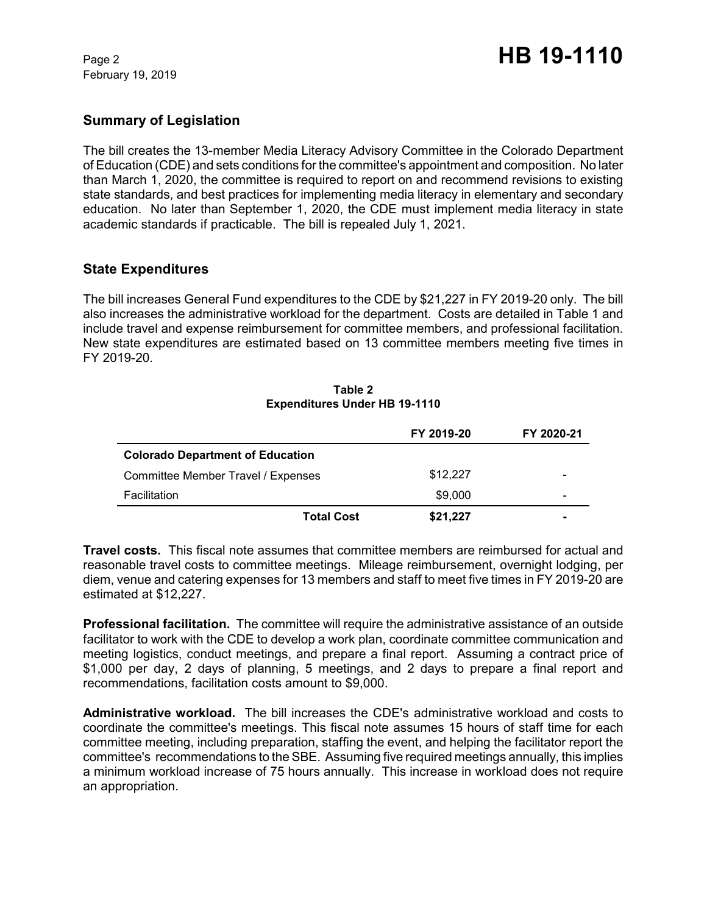February 19, 2019

# **Summary of Legislation**

The bill creates the 13-member Media Literacy Advisory Committee in the Colorado Department of Education (CDE) and sets conditions for the committee's appointment and composition. No later than March 1, 2020, the committee is required to report on and recommend revisions to existing state standards, and best practices for implementing media literacy in elementary and secondary education. No later than September 1, 2020, the CDE must implement media literacy in state academic standards if practicable. The bill is repealed July 1, 2021.

# **State Expenditures**

The bill increases General Fund expenditures to the CDE by \$21,227 in FY 2019-20 only. The bill also increases the administrative workload for the department. Costs are detailed in Table 1 and include travel and expense reimbursement for committee members, and professional facilitation. New state expenditures are estimated based on 13 committee members meeting five times in FY 2019-20.

|                                         | FY 2019-20 | FY 2020-21 |
|-----------------------------------------|------------|------------|
| <b>Colorado Department of Education</b> |            |            |
| Committee Member Travel / Expenses      | \$12,227   |            |
| Facilitation                            | \$9,000    | -          |
| <b>Total Cost</b>                       | \$21,227   |            |

#### **Table 2 Expenditures Under HB 19-1110**

**Travel costs.** This fiscal note assumes that committee members are reimbursed for actual and reasonable travel costs to committee meetings. Mileage reimbursement, overnight lodging, per diem, venue and catering expenses for 13 members and staff to meet five times in FY 2019-20 are estimated at \$12,227.

**Professional facilitation.** The committee will require the administrative assistance of an outside facilitator to work with the CDE to develop a work plan, coordinate committee communication and meeting logistics, conduct meetings, and prepare a final report. Assuming a contract price of \$1,000 per day, 2 days of planning, 5 meetings, and 2 days to prepare a final report and recommendations, facilitation costs amount to \$9,000.

**Administrative workload.** The bill increases the CDE's administrative workload and costs to coordinate the committee's meetings. This fiscal note assumes 15 hours of staff time for each committee meeting, including preparation, staffing the event, and helping the facilitator report the committee's recommendations to the SBE. Assuming five required meetings annually, this implies a minimum workload increase of 75 hours annually. This increase in workload does not require an appropriation.